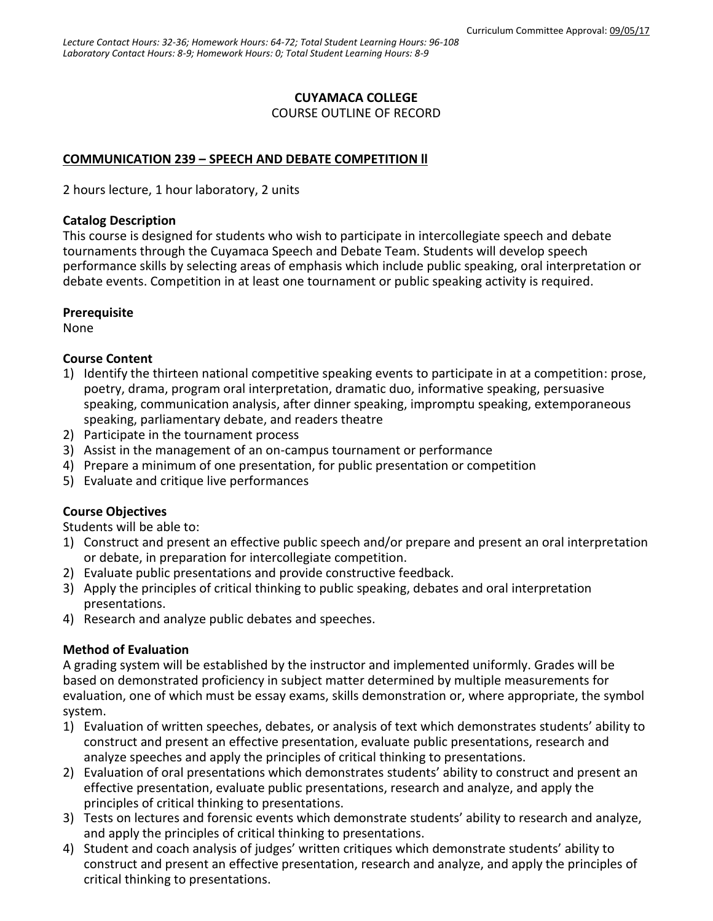# **CUYAMACA COLLEGE**

COURSE OUTLINE OF RECORD

# **COMMUNICATION 239 – SPEECH AND DEBATE COMPETITION ll**

2 hours lecture, 1 hour laboratory, 2 units

#### **Catalog Description**

This course is designed for students who wish to participate in intercollegiate speech and debate tournaments through the Cuyamaca Speech and Debate Team. Students will develop speech performance skills by selecting areas of emphasis which include public speaking, oral interpretation or debate events. Competition in at least one tournament or public speaking activity is required.

# **Prerequisite**

None

# **Course Content**

- 1) Identify the thirteen national competitive speaking events to participate in at a competition: prose, poetry, drama, program oral interpretation, dramatic duo, informative speaking, persuasive speaking, communication analysis, after dinner speaking, impromptu speaking, extemporaneous speaking, parliamentary debate, and readers theatre
- 2) Participate in the tournament process
- 3) Assist in the management of an on-campus tournament or performance
- 4) Prepare a minimum of one presentation, for public presentation or competition
- 5) Evaluate and critique live performances

# **Course Objectives**

Students will be able to:

- 1) Construct and present an effective public speech and/or prepare and present an oral interpretation or debate, in preparation for intercollegiate competition.
- 2) Evaluate public presentations and provide constructive feedback.
- 3) Apply the principles of critical thinking to public speaking, debates and oral interpretation presentations.
- 4) Research and analyze public debates and speeches.

# **Method of Evaluation**

A grading system will be established by the instructor and implemented uniformly. Grades will be based on demonstrated proficiency in subject matter determined by multiple measurements for evaluation, one of which must be essay exams, skills demonstration or, where appropriate, the symbol system.

- 1) Evaluation of written speeches, debates, or analysis of text which demonstrates students' ability to construct and present an effective presentation, evaluate public presentations, research and analyze speeches and apply the principles of critical thinking to presentations.
- 2) Evaluation of oral presentations which demonstrates students' ability to construct and present an effective presentation, evaluate public presentations, research and analyze, and apply the principles of critical thinking to presentations.
- 3) Tests on lectures and forensic events which demonstrate students' ability to research and analyze, and apply the principles of critical thinking to presentations.
- 4) Student and coach analysis of judges' written critiques which demonstrate students' ability to construct and present an effective presentation, research and analyze, and apply the principles of critical thinking to presentations.